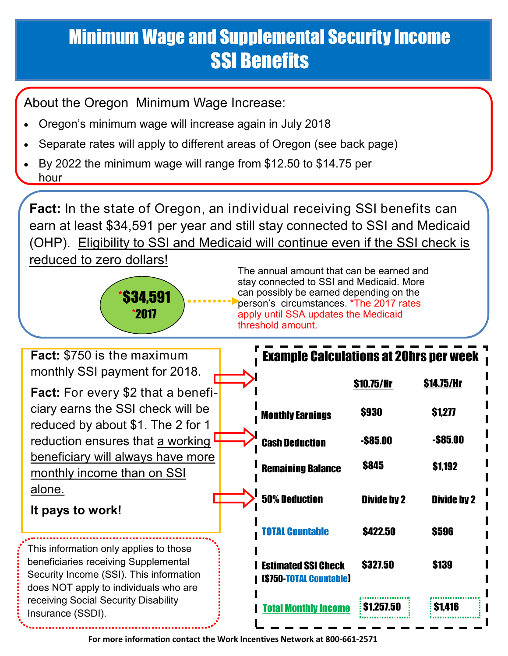## Minimum Wage and Supplemental Security Income SSI Benefits

About the Oregon Minimum Wage Increase:

- Oregon's minimum wage will increase again in July 2018
- Separate rates will apply to different areas of Oregon (see back page)
- By 2022 the minimum wage will range from \$12.50 to \$14.75 per hour

**Fact:** In the state of Oregon, an individual receiving SSI benefits can earn at least \$34,591 per year and still stay connected to SSI and Medicaid (OHP). Eligibility to SSI and Medicaid will continue even if the SSI check is

reduced to zero dollars!



The annual amount that can be earned and stay connected to SSI and Medicaid. More can possibly be earned depending on the person's circumstances. \*The 2017 rates apply until SSA updates the Medicaid threshold amount.

| <b>Fact:</b> \$750 is the maximum                                                                                                                                  | <b>Example Calculations at 20hrs per week</b>                |                    |                    |
|--------------------------------------------------------------------------------------------------------------------------------------------------------------------|--------------------------------------------------------------|--------------------|--------------------|
| monthly SSI payment for 2018.<br><b>Fact:</b> For every \$2 that a benefi-                                                                                         |                                                              | \$10.75/Hr         | <b>\$14.75/Hr</b>  |
| ciary earns the SSI check will be                                                                                                                                  | <b>Monthly Earnings</b>                                      | \$930              | \$1,277            |
| reduced by about \$1. The 2 for 1<br>reduction ensures that a working                                                                                              | <b>Cash Deduction</b>                                        | $-$ \$85.00        | $-$ \$85.00        |
| beneficiary will always have more<br>monthly income than on SSI                                                                                                    | <b>Remaining Balance</b>                                     | <b>\$845</b>       | \$1,192            |
| alone.                                                                                                                                                             | <b>50% Deduction</b>                                         | <b>Divide by 2</b> | <b>Divide by 2</b> |
| It pays to work!                                                                                                                                                   | <b>TOTAL Countable</b>                                       | \$422.50           | \$596              |
| This information only applies to those<br>beneficiaries receiving Supplemental<br>Security Income (SSI). This information<br>does NOT apply to individuals who are | <b>Estimated SSI Check</b><br><b>(\$750-TOTAL Countable)</b> | \$327.50           | <b>\$139</b>       |
| receiving Social Security Disability<br>Insurance (SSDI).                                                                                                          | <b><i>Fotal Monthly Income</i></b>                           | \$1.257.50         | \$1.416            |

**For more information contact the Work Incentives Network at 800-661-2571**